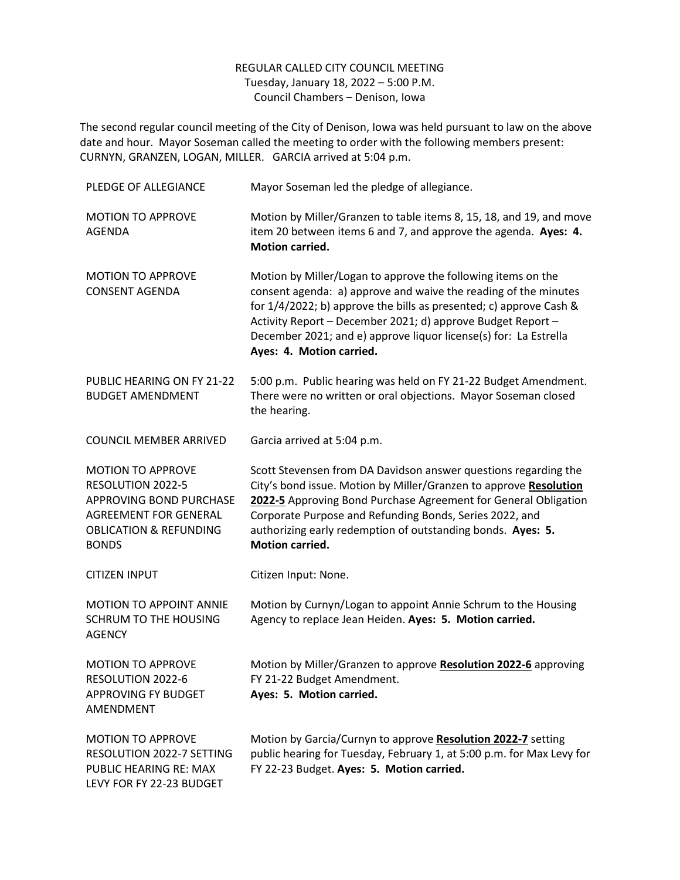## REGULAR CALLED CITY COUNCIL MEETING Tuesday, January 18, 2022 – 5:00 P.M. Council Chambers – Denison, Iowa

The second regular council meeting of the City of Denison, Iowa was held pursuant to law on the above date and hour. Mayor Soseman called the meeting to order with the following members present: CURNYN, GRANZEN, LOGAN, MILLER. GARCIA arrived at 5:04 p.m.

| PLEDGE OF ALLEGIANCE                                                                                                                                                 | Mayor Soseman led the pledge of allegiance.                                                                                                                                                                                                                                                                                                                          |
|----------------------------------------------------------------------------------------------------------------------------------------------------------------------|----------------------------------------------------------------------------------------------------------------------------------------------------------------------------------------------------------------------------------------------------------------------------------------------------------------------------------------------------------------------|
| <b>MOTION TO APPROVE</b><br><b>AGENDA</b>                                                                                                                            | Motion by Miller/Granzen to table items 8, 15, 18, and 19, and move<br>item 20 between items 6 and 7, and approve the agenda. Ayes: 4.<br><b>Motion carried.</b>                                                                                                                                                                                                     |
| <b>MOTION TO APPROVE</b><br><b>CONSENT AGENDA</b>                                                                                                                    | Motion by Miller/Logan to approve the following items on the<br>consent agenda: a) approve and waive the reading of the minutes<br>for 1/4/2022; b) approve the bills as presented; c) approve Cash &<br>Activity Report - December 2021; d) approve Budget Report -<br>December 2021; and e) approve liquor license(s) for: La Estrella<br>Ayes: 4. Motion carried. |
| PUBLIC HEARING ON FY 21-22<br><b>BUDGET AMENDMENT</b>                                                                                                                | 5:00 p.m. Public hearing was held on FY 21-22 Budget Amendment.<br>There were no written or oral objections. Mayor Soseman closed<br>the hearing.                                                                                                                                                                                                                    |
| <b>COUNCIL MEMBER ARRIVED</b>                                                                                                                                        | Garcia arrived at 5:04 p.m.                                                                                                                                                                                                                                                                                                                                          |
| <b>MOTION TO APPROVE</b><br>RESOLUTION 2022-5<br><b>APPROVING BOND PURCHASE</b><br><b>AGREEMENT FOR GENERAL</b><br><b>OBLICATION &amp; REFUNDING</b><br><b>BONDS</b> | Scott Stevensen from DA Davidson answer questions regarding the<br>City's bond issue. Motion by Miller/Granzen to approve Resolution<br>2022-5 Approving Bond Purchase Agreement for General Obligation<br>Corporate Purpose and Refunding Bonds, Series 2022, and<br>authorizing early redemption of outstanding bonds. Ayes: 5.<br><b>Motion carried.</b>          |
| <b>CITIZEN INPUT</b>                                                                                                                                                 | Citizen Input: None.                                                                                                                                                                                                                                                                                                                                                 |
| MOTION TO APPOINT ANNIE<br><b>SCHRUM TO THE HOUSING</b><br><b>AGENCY</b>                                                                                             | Motion by Curnyn/Logan to appoint Annie Schrum to the Housing<br>Agency to replace Jean Heiden. Ayes: 5. Motion carried.                                                                                                                                                                                                                                             |
| <b>MOTION TO APPROVE</b><br>RESOLUTION 2022-6<br>APPROVING FY BUDGET<br>AMENDMENT                                                                                    | Motion by Miller/Granzen to approve Resolution 2022-6 approving<br>FY 21-22 Budget Amendment.<br>Ayes: 5. Motion carried.                                                                                                                                                                                                                                            |
| <b>MOTION TO APPROVE</b><br>RESOLUTION 2022-7 SETTING<br>PUBLIC HEARING RE: MAX<br>LEVY FOR FY 22-23 BUDGET                                                          | Motion by Garcia/Curnyn to approve Resolution 2022-7 setting<br>public hearing for Tuesday, February 1, at 5:00 p.m. for Max Levy for<br>FY 22-23 Budget. Ayes: 5. Motion carried.                                                                                                                                                                                   |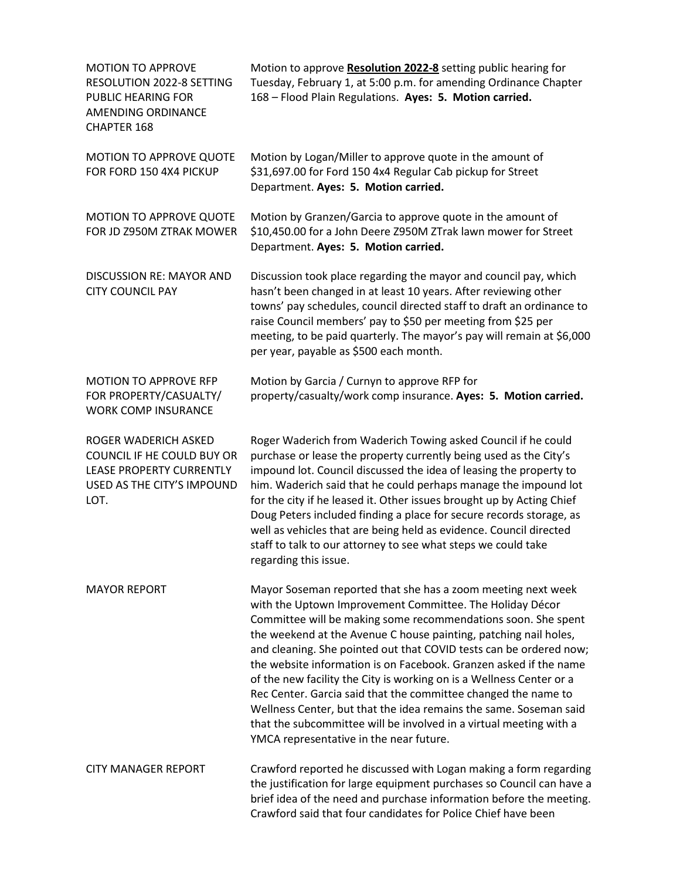| <b>MOTION TO APPROVE</b><br>RESOLUTION 2022-8 SETTING<br>PUBLIC HEARING FOR<br>AMENDING ORDINANCE<br>CHAPTER 168            | Motion to approve Resolution 2022-8 setting public hearing for<br>Tuesday, February 1, at 5:00 p.m. for amending Ordinance Chapter<br>168 - Flood Plain Regulations. Ayes: 5. Motion carried.                                                                                                                                                                                                                                                                                                                                                                                                                                                                                                                                            |
|-----------------------------------------------------------------------------------------------------------------------------|------------------------------------------------------------------------------------------------------------------------------------------------------------------------------------------------------------------------------------------------------------------------------------------------------------------------------------------------------------------------------------------------------------------------------------------------------------------------------------------------------------------------------------------------------------------------------------------------------------------------------------------------------------------------------------------------------------------------------------------|
| <b>MOTION TO APPROVE QUOTE</b><br>FOR FORD 150 4X4 PICKUP                                                                   | Motion by Logan/Miller to approve quote in the amount of<br>\$31,697.00 for Ford 150 4x4 Regular Cab pickup for Street<br>Department. Ayes: 5. Motion carried.                                                                                                                                                                                                                                                                                                                                                                                                                                                                                                                                                                           |
| MOTION TO APPROVE QUOTE<br>FOR JD Z950M ZTRAK MOWER                                                                         | Motion by Granzen/Garcia to approve quote in the amount of<br>\$10,450.00 for a John Deere Z950M ZTrak lawn mower for Street<br>Department. Ayes: 5. Motion carried.                                                                                                                                                                                                                                                                                                                                                                                                                                                                                                                                                                     |
| <b>DISCUSSION RE: MAYOR AND</b><br><b>CITY COUNCIL PAY</b>                                                                  | Discussion took place regarding the mayor and council pay, which<br>hasn't been changed in at least 10 years. After reviewing other<br>towns' pay schedules, council directed staff to draft an ordinance to<br>raise Council members' pay to \$50 per meeting from \$25 per<br>meeting, to be paid quarterly. The mayor's pay will remain at \$6,000<br>per year, payable as \$500 each month.                                                                                                                                                                                                                                                                                                                                          |
| <b>MOTION TO APPROVE RFP</b><br>FOR PROPERTY/CASUALTY/<br><b>WORK COMP INSURANCE</b>                                        | Motion by Garcia / Curnyn to approve RFP for<br>property/casualty/work comp insurance. Ayes: 5. Motion carried.                                                                                                                                                                                                                                                                                                                                                                                                                                                                                                                                                                                                                          |
| ROGER WADERICH ASKED<br>COUNCIL IF HE COULD BUY OR<br><b>LEASE PROPERTY CURRENTLY</b><br>USED AS THE CITY'S IMPOUND<br>LOT. | Roger Waderich from Waderich Towing asked Council if he could<br>purchase or lease the property currently being used as the City's<br>impound lot. Council discussed the idea of leasing the property to<br>him. Waderich said that he could perhaps manage the impound lot<br>for the city if he leased it. Other issues brought up by Acting Chief<br>Doug Peters included finding a place for secure records storage, as<br>well as vehicles that are being held as evidence. Council directed<br>staff to talk to our attorney to see what steps we could take<br>regarding this issue.                                                                                                                                              |
| <b>MAYOR REPORT</b>                                                                                                         | Mayor Soseman reported that she has a zoom meeting next week<br>with the Uptown Improvement Committee. The Holiday Décor<br>Committee will be making some recommendations soon. She spent<br>the weekend at the Avenue C house painting, patching nail holes,<br>and cleaning. She pointed out that COVID tests can be ordered now;<br>the website information is on Facebook. Granzen asked if the name<br>of the new facility the City is working on is a Wellness Center or a<br>Rec Center. Garcia said that the committee changed the name to<br>Wellness Center, but that the idea remains the same. Soseman said<br>that the subcommittee will be involved in a virtual meeting with a<br>YMCA representative in the near future. |
| <b>CITY MANAGER REPORT</b>                                                                                                  | Crawford reported he discussed with Logan making a form regarding<br>the justification for large equipment purchases so Council can have a<br>brief idea of the need and purchase information before the meeting.<br>Crawford said that four candidates for Police Chief have been                                                                                                                                                                                                                                                                                                                                                                                                                                                       |